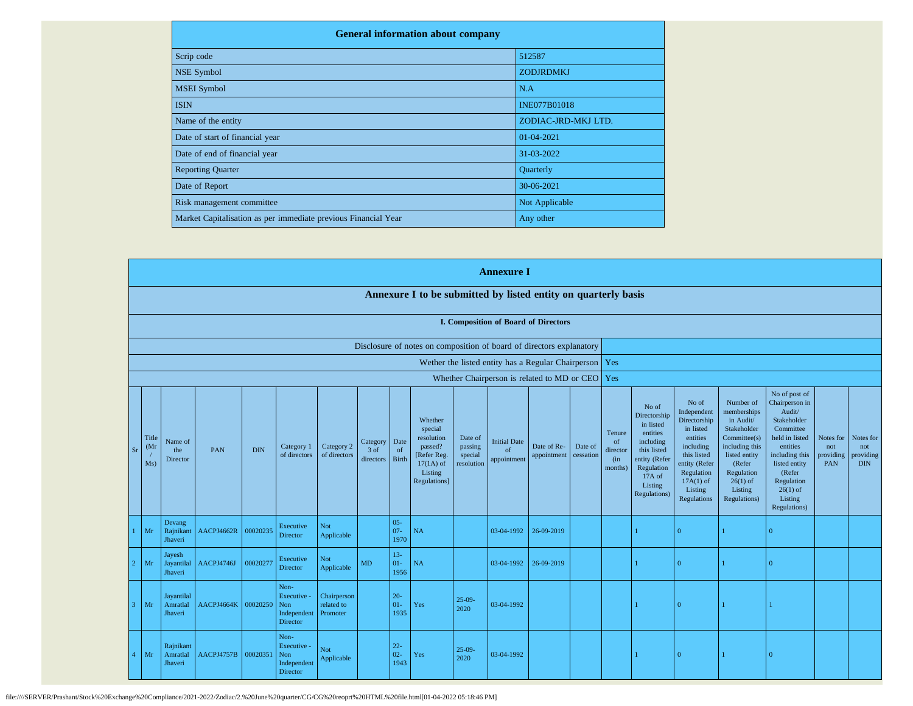| <b>General information about company</b>                       |                     |  |  |  |  |  |  |  |  |
|----------------------------------------------------------------|---------------------|--|--|--|--|--|--|--|--|
| Scrip code                                                     | 512587              |  |  |  |  |  |  |  |  |
| NSE Symbol                                                     | <b>ZODJRDMKJ</b>    |  |  |  |  |  |  |  |  |
| <b>MSEI</b> Symbol                                             | N.A                 |  |  |  |  |  |  |  |  |
| <b>ISIN</b>                                                    | <b>INE077B01018</b> |  |  |  |  |  |  |  |  |
| Name of the entity                                             | ZODIAC-JRD-MKJ LTD. |  |  |  |  |  |  |  |  |
| Date of start of financial year                                | 01-04-2021          |  |  |  |  |  |  |  |  |
| Date of end of financial year                                  | 31-03-2022          |  |  |  |  |  |  |  |  |
| <b>Reporting Quarter</b>                                       | Quarterly           |  |  |  |  |  |  |  |  |
| Date of Report                                                 | 30-06-2021          |  |  |  |  |  |  |  |  |
| Risk management committee                                      | Not Applicable      |  |  |  |  |  |  |  |  |
| Market Capitalisation as per immediate previous Financial Year | Any other           |  |  |  |  |  |  |  |  |

|                         |                      |                                                 |            |            |                                                              |                                       |                               |                          |                                                                                                      |                                             | <b>Annexure I</b>                        |                                                          |                      |                                                       |                                                                                                                                                |                                                                                                                                                                   |                                                                                                                                                                          |                                                                                                                                                                                                         |                                      |                                             |
|-------------------------|----------------------|-------------------------------------------------|------------|------------|--------------------------------------------------------------|---------------------------------------|-------------------------------|--------------------------|------------------------------------------------------------------------------------------------------|---------------------------------------------|------------------------------------------|----------------------------------------------------------|----------------------|-------------------------------------------------------|------------------------------------------------------------------------------------------------------------------------------------------------|-------------------------------------------------------------------------------------------------------------------------------------------------------------------|--------------------------------------------------------------------------------------------------------------------------------------------------------------------------|---------------------------------------------------------------------------------------------------------------------------------------------------------------------------------------------------------|--------------------------------------|---------------------------------------------|
|                         |                      |                                                 |            |            |                                                              |                                       |                               |                          | Annexure I to be submitted by listed entity on quarterly basis                                       |                                             |                                          |                                                          |                      |                                                       |                                                                                                                                                |                                                                                                                                                                   |                                                                                                                                                                          |                                                                                                                                                                                                         |                                      |                                             |
|                         |                      |                                                 |            |            |                                                              |                                       |                               |                          |                                                                                                      |                                             |                                          | <b>I. Composition of Board of Directors</b>              |                      |                                                       |                                                                                                                                                |                                                                                                                                                                   |                                                                                                                                                                          |                                                                                                                                                                                                         |                                      |                                             |
|                         |                      |                                                 |            |            |                                                              |                                       |                               |                          | Disclosure of notes on composition of board of directors explanatory                                 |                                             |                                          |                                                          |                      |                                                       |                                                                                                                                                |                                                                                                                                                                   |                                                                                                                                                                          |                                                                                                                                                                                                         |                                      |                                             |
|                         |                      |                                                 |            |            |                                                              |                                       |                               |                          |                                                                                                      |                                             |                                          | Wether the listed entity has a Regular Chairperson   Yes |                      |                                                       |                                                                                                                                                |                                                                                                                                                                   |                                                                                                                                                                          |                                                                                                                                                                                                         |                                      |                                             |
|                         |                      | Whether Chairperson is related to MD or CEO Yes |            |            |                                                              |                                       |                               |                          |                                                                                                      |                                             |                                          |                                                          |                      |                                                       |                                                                                                                                                |                                                                                                                                                                   |                                                                                                                                                                          |                                                                                                                                                                                                         |                                      |                                             |
| S <sub>I</sub>          | Title<br>(Mr)<br>Ms) | Name of<br>the<br>Director                      | PAN        | <b>DIN</b> | Category 1<br>of directors                                   | Category 2<br>of directors            | Category<br>3 of<br>directors | Date<br>of<br>Birth      | Whether<br>special<br>resolution<br>passed?<br>[Refer Reg.<br>$17(1A)$ of<br>Listing<br>Regulations] | Date of<br>passing<br>special<br>resolution | <b>Initial Date</b><br>of<br>appointment | Date of Re-<br>appointment                               | Date of<br>cessation | Tenure<br><sub>of</sub><br>director<br>(in<br>months) | No of<br>Directorship<br>in listed<br>entities<br>including<br>this listed<br>entity (Refer<br>Regulation<br>17A of<br>Listing<br>Regulations) | No of<br>Independent<br>Directorship<br>in listed<br>entities<br>including<br>this listed<br>entity (Refer<br>Regulation<br>$17A(1)$ of<br>Listing<br>Regulations | Number of<br>memberships<br>in Audit/<br>Stakeholder<br>Committee(s)<br>including this<br>listed entity<br>(Refer<br>Regulation<br>$26(1)$ of<br>Listing<br>Regulations) | No of post of<br>Chairperson in<br>Audit/<br>Stakeholder<br>Committee<br>held in listed<br>entities<br>including this<br>listed entity<br>(Refer<br>Regulation<br>$26(1)$ of<br>Listing<br>Regulations) | Notes for<br>not<br>providing<br>PAN | Notes for<br>not<br>providing<br><b>DIN</b> |
|                         | Mr                   | Devang<br>Rajnikant<br>Jhaveri                  | AACPJ4662R | 00020235   | Executive<br>Director                                        | <b>Not</b><br>Applicable              |                               | $05 -$<br>$07 -$<br>1970 | NA                                                                                                   |                                             | 03-04-1992                               | 26-09-2019                                               |                      |                                                       |                                                                                                                                                | $\Omega$                                                                                                                                                          |                                                                                                                                                                          | $\Omega$                                                                                                                                                                                                |                                      |                                             |
|                         | Mr                   | Jayesh<br>Jayantilal<br>Jhaveri                 | AACPJ4746J | 00020277   | Executive<br><b>Director</b>                                 | Not<br>Applicable                     | <b>MD</b>                     | $13-$<br>$01-$<br>1956   | NA                                                                                                   |                                             | 03-04-1992                               | 26-09-2019                                               |                      |                                                       |                                                                                                                                                | $\Omega$                                                                                                                                                          |                                                                                                                                                                          | $\Omega$                                                                                                                                                                                                |                                      |                                             |
| $\overline{\mathbf{3}}$ | Mr                   | Jayantilal<br>Amratlal<br>Jhaveri               | AACPJ4664K | 00020250   | Non-<br>Executive -<br>Non<br>Independent<br><b>Director</b> | Chairperson<br>related to<br>Promoter |                               | $20 -$<br>$01 -$<br>1935 | Yes                                                                                                  | $25-09-$<br>2020                            | 03-04-1992                               |                                                          |                      |                                                       |                                                                                                                                                | $\Omega$                                                                                                                                                          |                                                                                                                                                                          |                                                                                                                                                                                                         |                                      |                                             |
|                         | Mr                   | Rajnikant<br>Amratlal<br>Jhaveri                | AACPJ4757B | 00020351   | Non-<br>Executive -<br>Non<br>Independent<br>Director        | <b>Not</b><br>Applicable              |                               | $22 -$<br>$02 -$<br>1943 | Yes                                                                                                  | $25-09-$<br>2020                            | 03-04-1992                               |                                                          |                      |                                                       |                                                                                                                                                | l 0                                                                                                                                                               | $\overline{1}$                                                                                                                                                           | $\Omega$                                                                                                                                                                                                |                                      |                                             |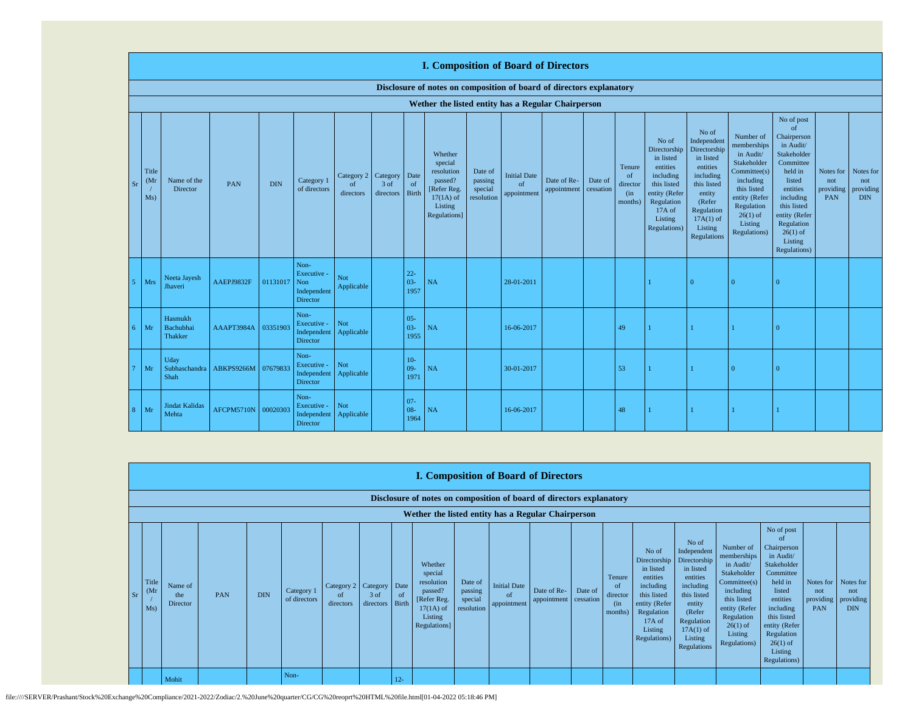|    |                                   |                                        |            |            |                                                       |                                        |                   |                            | <b>I. Composition of Board of Directors</b>                                                          |                                             |                                          |                            |                      |                                                       |                                                                                                                                                |                                                                                                                                                                      |                                                                                                                                                                          |                                                                                                                                                                                                               |                                      |                                             |
|----|-----------------------------------|----------------------------------------|------------|------------|-------------------------------------------------------|----------------------------------------|-------------------|----------------------------|------------------------------------------------------------------------------------------------------|---------------------------------------------|------------------------------------------|----------------------------|----------------------|-------------------------------------------------------|------------------------------------------------------------------------------------------------------------------------------------------------|----------------------------------------------------------------------------------------------------------------------------------------------------------------------|--------------------------------------------------------------------------------------------------------------------------------------------------------------------------|---------------------------------------------------------------------------------------------------------------------------------------------------------------------------------------------------------------|--------------------------------------|---------------------------------------------|
|    |                                   |                                        |            |            |                                                       |                                        |                   |                            | Disclosure of notes on composition of board of directors explanatory                                 |                                             |                                          |                            |                      |                                                       |                                                                                                                                                |                                                                                                                                                                      |                                                                                                                                                                          |                                                                                                                                                                                                               |                                      |                                             |
|    |                                   |                                        |            |            |                                                       |                                        |                   |                            | Wether the listed entity has a Regular Chairperson                                                   |                                             |                                          |                            |                      |                                                       |                                                                                                                                                |                                                                                                                                                                      |                                                                                                                                                                          |                                                                                                                                                                                                               |                                      |                                             |
| Sr | Title<br>(M <sub>1</sub> )<br>Ms) | Name of the<br>Director                | PAN        | <b>DIN</b> | Category 1<br>of directors                            | Category 2 Category<br>of<br>directors | 3 of<br>directors | Date<br>of<br><b>Birth</b> | Whether<br>special<br>resolution<br>passed?<br>[Refer Reg.<br>$17(1A)$ of<br>Listing<br>Regulations] | Date of<br>passing<br>special<br>resolution | <b>Initial Date</b><br>of<br>appointment | Date of Re-<br>appointment | Date of<br>cessation | Tenure<br><sub>of</sub><br>director<br>(in<br>months) | No of<br>Directorship<br>in listed<br>entities<br>including<br>this listed<br>entity (Refer<br>Regulation<br>17A of<br>Listing<br>Regulations) | No of<br>Independent<br>Directorship<br>in listed<br>entities<br>including<br>this listed<br>entity<br>(Refer<br>Regulation<br>$17A(1)$ of<br>Listing<br>Regulations | Number of<br>memberships<br>in Audit/<br>Stakeholder<br>Committee(s)<br>including<br>this listed<br>entity (Refer<br>Regulation<br>$26(1)$ of<br>Listing<br>Regulations) | No of post<br>of<br>Chairperson<br>in Audit/<br>Stakeholder<br>Committee<br>held in<br>listed<br>entities<br>including<br>this listed<br>entity (Refer<br>Regulation<br>$26(1)$ of<br>Listing<br>Regulations) | Notes for<br>not<br>providing<br>PAN | Notes for<br>not<br>providing<br><b>DIN</b> |
|    | Mrs                               | Neeta Jayesh<br>Jhaveri                | AAEPJ9832F | 01131017   | Non-<br>Executive -<br>Non<br>Independent<br>Director | Not<br>Applicable                      |                   | $22 -$<br>$03 -$<br>1957   | NA                                                                                                   |                                             | 28-01-2011                               |                            |                      |                                                       |                                                                                                                                                | $\Omega$                                                                                                                                                             | $\Omega$                                                                                                                                                                 |                                                                                                                                                                                                               |                                      |                                             |
| б. | Mr                                | Hasmukh<br>Bachubhai<br><b>Thakker</b> | AAAPT3984A | 03351903   | Non-<br>Executive -<br>Independent<br>Director        | Not<br>Applicable                      |                   | $05 -$<br>$03 -$<br>1955   | NA                                                                                                   |                                             | 16-06-2017                               |                            |                      | 49                                                    |                                                                                                                                                |                                                                                                                                                                      |                                                                                                                                                                          |                                                                                                                                                                                                               |                                      |                                             |
|    | Mr                                | Uday<br>Subhaschandra<br>Shah          | ABKPS9266M | 07679833   | Non-<br>Executive -<br>Independent<br>Director        | Not<br>Applicable                      |                   | $10-$<br>$09 -$<br>1971    | NA                                                                                                   |                                             | 30-01-2017                               |                            |                      | 53                                                    |                                                                                                                                                |                                                                                                                                                                      | $\Omega$                                                                                                                                                                 | $\Omega$                                                                                                                                                                                                      |                                      |                                             |
| 8  | Mr                                | <b>Jindat Kalidas</b><br>Mehta         | AFCPM5710N | 00020303   | Non-<br>Executive -<br>Independent<br>Director        | Not<br>Applicable                      |                   | $07 -$<br>$08 -$<br>1964   | NA                                                                                                   |                                             | 16-06-2017                               |                            |                      | 48                                                    |                                                                                                                                                |                                                                                                                                                                      |                                                                                                                                                                          |                                                                                                                                                                                                               |                                      |                                             |

|      | <b>I. Composition of Board of Directors</b>                          |                                                    |     |            |                            |                                        |                         |             |                                                                                                       |                                             |                                                  |                            |                      |                                                        |                                                                                                                                                |                                                                                                                                                                      |                                                                                                                                                                          |                                                                                                                                                                                                                          |                                             |                                             |
|------|----------------------------------------------------------------------|----------------------------------------------------|-----|------------|----------------------------|----------------------------------------|-------------------------|-------------|-------------------------------------------------------------------------------------------------------|---------------------------------------------|--------------------------------------------------|----------------------------|----------------------|--------------------------------------------------------|------------------------------------------------------------------------------------------------------------------------------------------------|----------------------------------------------------------------------------------------------------------------------------------------------------------------------|--------------------------------------------------------------------------------------------------------------------------------------------------------------------------|--------------------------------------------------------------------------------------------------------------------------------------------------------------------------------------------------------------------------|---------------------------------------------|---------------------------------------------|
|      | Disclosure of notes on composition of board of directors explanatory |                                                    |     |            |                            |                                        |                         |             |                                                                                                       |                                             |                                                  |                            |                      |                                                        |                                                                                                                                                |                                                                                                                                                                      |                                                                                                                                                                          |                                                                                                                                                                                                                          |                                             |                                             |
|      |                                                                      | Wether the listed entity has a Regular Chairperson |     |            |                            |                                        |                         |             |                                                                                                       |                                             |                                                  |                            |                      |                                                        |                                                                                                                                                |                                                                                                                                                                      |                                                                                                                                                                          |                                                                                                                                                                                                                          |                                             |                                             |
| - Sr | Title<br>(M <sub>I</sub> )<br>Ms)                                    | Name of<br>the<br>Director                         | PAN | <b>DIN</b> | Category 1<br>of directors | Category 2 Category<br>of<br>directors | 3 of<br>directors Birth | Date<br>-of | Whether<br>special<br>resolution<br>passed?<br>[Refer Reg.]<br>$17(1A)$ of<br>Listing<br>Regulations] | Date of<br>passing<br>special<br>resolution | <b>Initial Date</b><br>$\alpha$ f<br>appointment | Date of Re-<br>appointment | Date of<br>cessation | Tenure<br><sup>of</sup><br>director<br>(in)<br>months) | No of<br>Directorship<br>in listed<br>entities<br>including<br>this listed<br>entity (Refer<br>Regulation<br>17A of<br>Listing<br>Regulations) | No of<br>Independent<br>Directorship<br>in listed<br>entities<br>including<br>this listed<br>entity<br>(Refer<br>Regulation<br>$17A(1)$ of<br>Listing<br>Regulations | Number of<br>memberships<br>in Audit/<br>Stakeholder<br>Committee(s)<br>including<br>this listed<br>entity (Refer<br>Regulation<br>$26(1)$ of<br>Listing<br>Regulations) | No of post<br><sup>of</sup><br>Chairperson<br>in Audit/<br>Stakeholder<br>Committee<br>held in<br>listed<br>entities<br>including<br>this listed<br>entity (Refer<br>Regulation<br>$26(1)$ of<br>Listing<br>Regulations) | Notes for<br>not<br>providing<br><b>PAN</b> | Notes for<br>not<br>providing<br><b>DIN</b> |
|      |                                                                      | Mohit                                              |     |            | Non-                       |                                        |                         | $12 -$      |                                                                                                       |                                             |                                                  |                            |                      |                                                        |                                                                                                                                                |                                                                                                                                                                      |                                                                                                                                                                          |                                                                                                                                                                                                                          |                                             |                                             |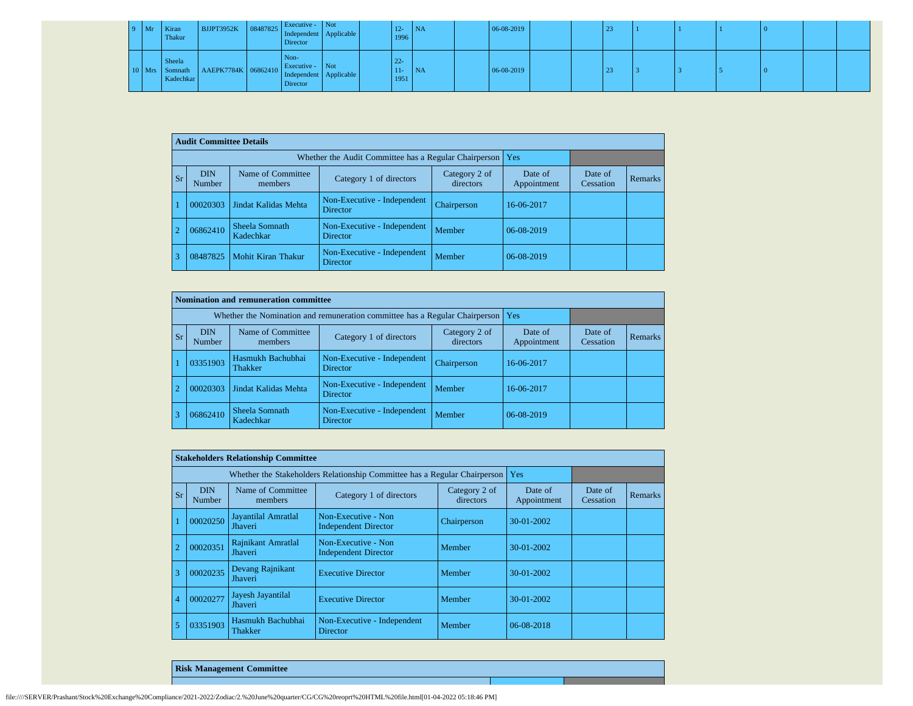| $9$ Mr | Kiran<br>Thakur     | RUPT3952K 08487825 Independent Applicable              | Executive - Not<br>Director |  | $12 -$<br>1996          | NA        | 06-08-2019 |  | 23 |  |  |  |
|--------|---------------------|--------------------------------------------------------|-----------------------------|--|-------------------------|-----------|------------|--|----|--|--|--|
|        | Sheela<br>Kadechkar | Mrs Somnath AAEPK7784K 06862410 Independent Applicable | Non-<br>Director            |  | $22 -$<br>$11-$<br>1951 | <b>NA</b> | 06-08-2019 |  | 23 |  |  |  |

|                | <b>Audit Committee Details</b> |                              |                                                       |                            |                        |                      |                |
|----------------|--------------------------------|------------------------------|-------------------------------------------------------|----------------------------|------------------------|----------------------|----------------|
|                |                                |                              | Whether the Audit Committee has a Regular Chairperson |                            | Yes                    |                      |                |
| <b>Sr</b>      | <b>DIN</b><br>Number           | Name of Committee<br>members | Category 1 of directors                               | Category 2 of<br>directors | Date of<br>Appointment | Date of<br>Cessation | <b>Remarks</b> |
|                | 00020303                       | Jindat Kalidas Mehta         | Non-Executive - Independent<br>Director               | Chairperson                | 16-06-2017             |                      |                |
| $\overline{2}$ | 06862410                       | Sheela Somnath<br>Kadechkar  | Non-Executive - Independent<br><b>Director</b>        | Member                     | 06-08-2019             |                      |                |
| 3              | 08487825                       | Mohit Kiran Thakur           | Non-Executive - Independent<br><b>Director</b>        | Member                     | 06-08-2019             |                      |                |

|            |                      | Nomination and remuneration committee |                                                                             |                        |                      |         |  |
|------------|----------------------|---------------------------------------|-----------------------------------------------------------------------------|------------------------|----------------------|---------|--|
|            |                      |                                       | Whether the Nomination and remuneration committee has a Regular Chairperson |                        | Yes                  |         |  |
| <b>Sr</b>  | <b>DIN</b><br>Number | Name of Committee<br>members          | Category 2 of<br>directors                                                  | Date of<br>Appointment | Date of<br>Cessation | Remarks |  |
|            | 03351903             | Hasmukh Bachubhai<br>Thakker          | Non-Executive - Independent<br><b>Director</b>                              | Chairperson            | 16-06-2017           |         |  |
| $\sqrt{2}$ | 00020303             | Jindat Kalidas Mehta                  | Non-Executive - Independent<br><b>Director</b>                              | Member                 | 16-06-2017           |         |  |
|            | 06862410             | Sheela Somnath<br>Kadechkar           | Non-Executive - Independent<br><b>Director</b>                              | Member                 | 06-08-2019           |         |  |

|                |                      | <b>Stakeholders Relationship Committee</b> |                                                                           |                            |                        |                      |                |
|----------------|----------------------|--------------------------------------------|---------------------------------------------------------------------------|----------------------------|------------------------|----------------------|----------------|
|                |                      |                                            | Whether the Stakeholders Relationship Committee has a Regular Chairperson |                            | Yes                    |                      |                |
| Sr             | <b>DIN</b><br>Number | Name of Committee<br>members               | Category 1 of directors                                                   | Category 2 of<br>directors | Date of<br>Appointment | Date of<br>Cessation | <b>Remarks</b> |
|                | 00020250             | Jayantilal Amratlal<br>Jhaveri             | Non-Executive - Non<br><b>Independent Director</b>                        | Chairperson                | $30-01-2002$           |                      |                |
|                | 00020351             | Rajnikant Amratlal<br>Jhaveri              | Non-Executive - Non<br><b>Independent Director</b>                        | Member                     | $30-01-2002$           |                      |                |
| 3              | 00020235             | Devang Rajnikant<br>Jhaveri                | <b>Executive Director</b>                                                 | Member                     | $30-01-2002$           |                      |                |
| $\overline{4}$ | 00020277             | Jayesh Jayantilal<br><b>Jhaveri</b>        | <b>Executive Director</b>                                                 | Member                     | 30-01-2002             |                      |                |
| 5              | 03351903             | Hasmukh Bachubhai<br>Thakker               | Non-Executive - Independent<br>Director                                   | Member                     | 06-08-2018             |                      |                |

**Risk Management Committee**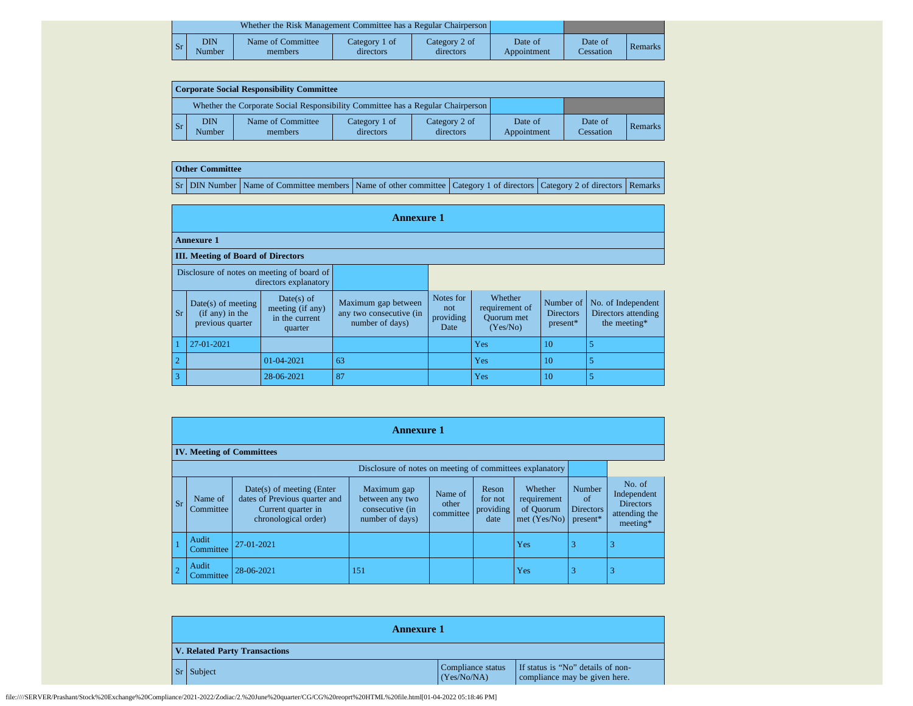|    |               | Whether the Risk Management Committee has a Regular Chairperson |                            |                            |                        |                      |         |
|----|---------------|-----------------------------------------------------------------|----------------------------|----------------------------|------------------------|----------------------|---------|
| Sr | DIN<br>Number | Name of Committee<br>members                                    | Category 1 of<br>directors | Category 2 of<br>directors | Date of<br>Appointment | Date of<br>Cessation | Remarks |

| Corporate Social Responsibility Committee |                      |                                                                                 |                            |                            |                        |                      |         |  |  |  |  |
|-------------------------------------------|----------------------|---------------------------------------------------------------------------------|----------------------------|----------------------------|------------------------|----------------------|---------|--|--|--|--|
|                                           |                      | Whether the Corporate Social Responsibility Committee has a Regular Chairperson |                            |                            |                        |                      |         |  |  |  |  |
| l Sr                                      | <b>DIN</b><br>Number | Name of Committee<br>members                                                    | Category 1 of<br>directors | Category 2 of<br>directors | Date of<br>Appointment | Date of<br>Cessation | Remarks |  |  |  |  |

## **Other Committee**

Sr DIN Number Name of Committee members Name of other committee Category 1 of directors Category 2 of directors Remarks

|                                           | <b>Annexure 1</b>                                                   |                                                             |                                                                   |                                       |                                                            |                                    |                                                           |  |  |  |  |  |  |
|-------------------------------------------|---------------------------------------------------------------------|-------------------------------------------------------------|-------------------------------------------------------------------|---------------------------------------|------------------------------------------------------------|------------------------------------|-----------------------------------------------------------|--|--|--|--|--|--|
|                                           | <b>Annexure 1</b>                                                   |                                                             |                                                                   |                                       |                                                            |                                    |                                                           |  |  |  |  |  |  |
| <b>III.</b> Meeting of Board of Directors |                                                                     |                                                             |                                                                   |                                       |                                                            |                                    |                                                           |  |  |  |  |  |  |
|                                           | Disclosure of notes on meeting of board of<br>directors explanatory |                                                             |                                                                   |                                       |                                                            |                                    |                                                           |  |  |  |  |  |  |
| $S_{r}$                                   | $Date(s)$ of meeting<br>$(if any)$ in the<br>previous quarter       | Date(s) of<br>meeting (if any)<br>in the current<br>quarter | Maximum gap between<br>any two consecutive (in<br>number of days) | Notes for<br>not<br>providing<br>Date | Whether<br>requirement of<br><b>Ouorum</b> met<br>(Yes/No) | Number of<br>Directors<br>present* | No. of Independent<br>Directors attending<br>the meeting* |  |  |  |  |  |  |
|                                           | 27-01-2021                                                          |                                                             |                                                                   |                                       | Yes                                                        | 10                                 | 5                                                         |  |  |  |  |  |  |
| $\overline{2}$                            |                                                                     | 01-04-2021                                                  | 63                                                                |                                       | Yes                                                        | 10                                 | 5                                                         |  |  |  |  |  |  |
| $\overline{\mathbf{3}}$                   |                                                                     | 28-06-2021                                                  | 87                                                                |                                       | Yes                                                        | 10                                 | 5                                                         |  |  |  |  |  |  |

|                | <b>Annexure 1</b>                |                                                                                                            |                                                                      |                               |                                       |                                                       |                                              |                                                                        |  |  |  |
|----------------|----------------------------------|------------------------------------------------------------------------------------------------------------|----------------------------------------------------------------------|-------------------------------|---------------------------------------|-------------------------------------------------------|----------------------------------------------|------------------------------------------------------------------------|--|--|--|
|                | <b>IV. Meeting of Committees</b> |                                                                                                            |                                                                      |                               |                                       |                                                       |                                              |                                                                        |  |  |  |
|                |                                  |                                                                                                            | Disclosure of notes on meeting of committees explanatory             |                               |                                       |                                                       |                                              |                                                                        |  |  |  |
| <b>Sr</b>      | Name of<br>Committee             | $Date(s)$ of meeting (Enter<br>dates of Previous quarter and<br>Current quarter in<br>chronological order) | Maximum gap<br>between any two<br>consecutive (in<br>number of days) | Name of<br>other<br>committee | Reson<br>for not<br>providing<br>date | Whether<br>requirement<br>of Quorum<br>met $(Yes/No)$ | Number<br>of<br><b>Directors</b><br>present* | No. of<br>Independent<br><b>Directors</b><br>attending the<br>meeting* |  |  |  |
|                | Audit<br>Committee               | 27-01-2021                                                                                                 |                                                                      |                               |                                       | Yes                                                   | 3                                            | 3                                                                      |  |  |  |
| $\overline{2}$ | Audit<br>Committee               | 28-06-2021                                                                                                 | 151                                                                  |                               |                                       | Yes                                                   | 3                                            | 3                                                                      |  |  |  |

|                                      | <b>Annexure 1</b> |                                  |                                                                    |  |  |  |
|--------------------------------------|-------------------|----------------------------------|--------------------------------------------------------------------|--|--|--|
| <b>V. Related Party Transactions</b> |                   |                                  |                                                                    |  |  |  |
|                                      | $Sr$ Subject      | Compliance status<br>(Yes/No/NA) | If status is "No" details of non-<br>compliance may be given here. |  |  |  |